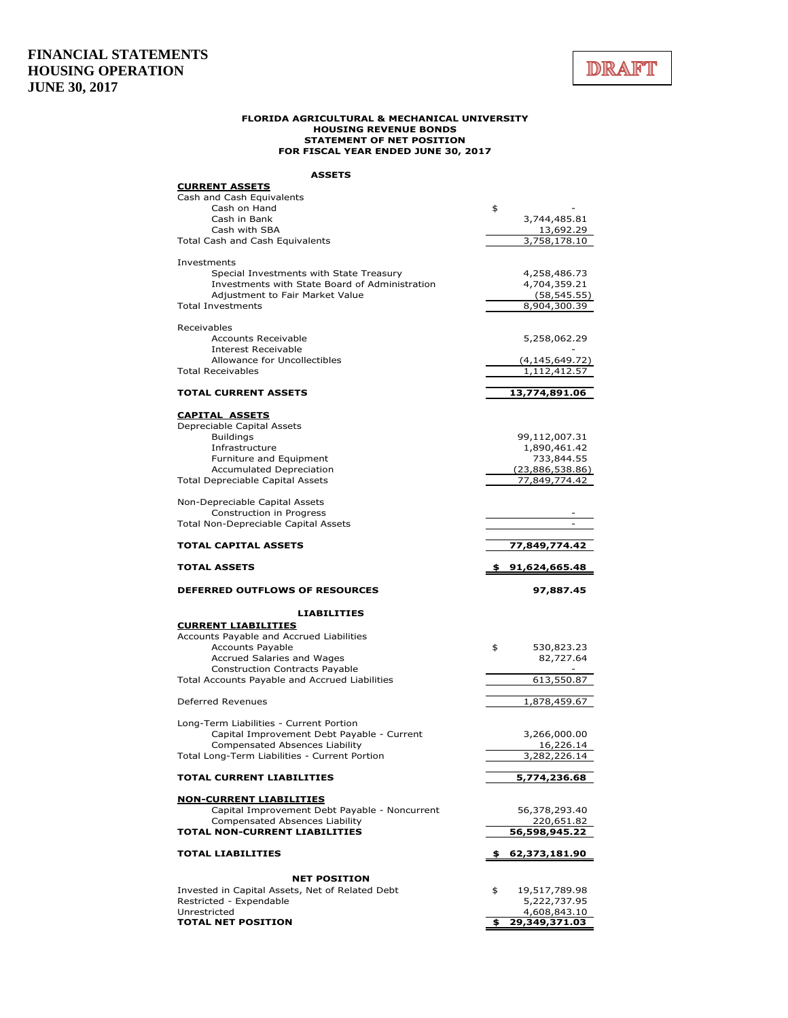

#### **FLORIDA AGRICULTURAL & MECHANICAL UNIVERSITY HOUSING REVENUE BONDS STATEMENT OF NET POSITION FOR FISCAL YEAR ENDED JUNE 30, 2017**

**ASSETS**

| <b>CURRENT ASSETS</b><br>Cash and Cash Equivalents               |                                |
|------------------------------------------------------------------|--------------------------------|
| Cash on Hand<br>Cash in Bank                                     | \$<br>3,744,485.81             |
| Cash with SBA<br>Total Cash and Cash Equivalents                 | 13,692.29<br>3,758,178.10      |
| Investments                                                      |                                |
| Special Investments with State Treasury                          | 4,258,486.73                   |
| Investments with State Board of Administration                   | 4,704,359.21                   |
| Adjustment to Fair Market Value<br><b>Total Investments</b>      | (58, 545.55)<br>8,904,300.39   |
|                                                                  |                                |
| Receivables<br><b>Accounts Receivable</b>                        | 5,258,062.29                   |
| <b>Interest Receivable</b>                                       |                                |
| Allowance for Uncollectibles                                     | (4,145,649.72)                 |
| <b>Total Receivables</b>                                         | 1,112,412.57                   |
| <b>TOTAL CURRENT ASSETS</b>                                      | <u>13,774,891.06</u>           |
| <b>CAPITAL ASSETS</b>                                            |                                |
| Depreciable Capital Assets                                       |                                |
| <b>Buildings</b><br>Infrastructure                               | 99,112,007.31<br>1,890,461.42  |
| Furniture and Equipment                                          | 733,844.55                     |
| Accumulated Depreciation                                         | (23,886,538.86)                |
| Total Depreciable Capital Assets                                 | 77,849,774.42                  |
| Non-Depreciable Capital Assets                                   |                                |
| Construction in Progress                                         |                                |
| Total Non-Depreciable Capital Assets                             |                                |
| <b>TOTAL CAPITAL ASSETS</b>                                      | 77,849,774.42                  |
|                                                                  |                                |
| <b>TOTAL ASSETS</b>                                              | 91,624,665.48                  |
| <b>DEFERRED OUTFLOWS OF RESOURCES</b>                            | 97,887.45                      |
| <b>LIABILITIES</b>                                               |                                |
| <b>CURRENT LIABILITIES</b>                                       |                                |
| Accounts Payable and Accrued Liabilities                         |                                |
| <b>Accounts Payable</b><br><b>Accrued Salaries and Wages</b>     | 530,823.23<br>\$<br>82,727.64  |
| <b>Construction Contracts Payable</b>                            |                                |
| Total Accounts Payable and Accrued Liabilities                   | 613,550.87                     |
| Deferred Revenues                                                | 1,878,459.67                   |
| Long-Term Liabilities - Current Portion                          |                                |
| Capital Improvement Debt Payable - Current                       | 3,266,000.00                   |
| <b>Compensated Absences Liability</b>                            | 16,226.14                      |
| Total Long-Term Liabilities - Current Portion                    | <u>3,282,226.14</u>            |
| <b>TOTAL CURRENT LIABILITIES</b>                                 | 5,774,236.68                   |
| <b>NON-CURRENT LIABILITIES</b>                                   |                                |
| Capital Improvement Debt Payable - Noncurrent                    | 56,378,293.40                  |
| <b>Compensated Absences Liability</b>                            | 220,651.82                     |
| <b>TOTAL NON-CURRENT LIABILITIES</b><br><b>TOTAL LIABILITIES</b> | 56,598,945.22<br>62,373,181.90 |
|                                                                  |                                |
| <b>NET POSITION</b>                                              |                                |
| Invested in Capital Assets, Net of Related Debt                  | \$<br>19,517,789.98            |
| Restricted - Expendable<br>Unrestricted                          | 5,222,737.95<br>4,608,843.10   |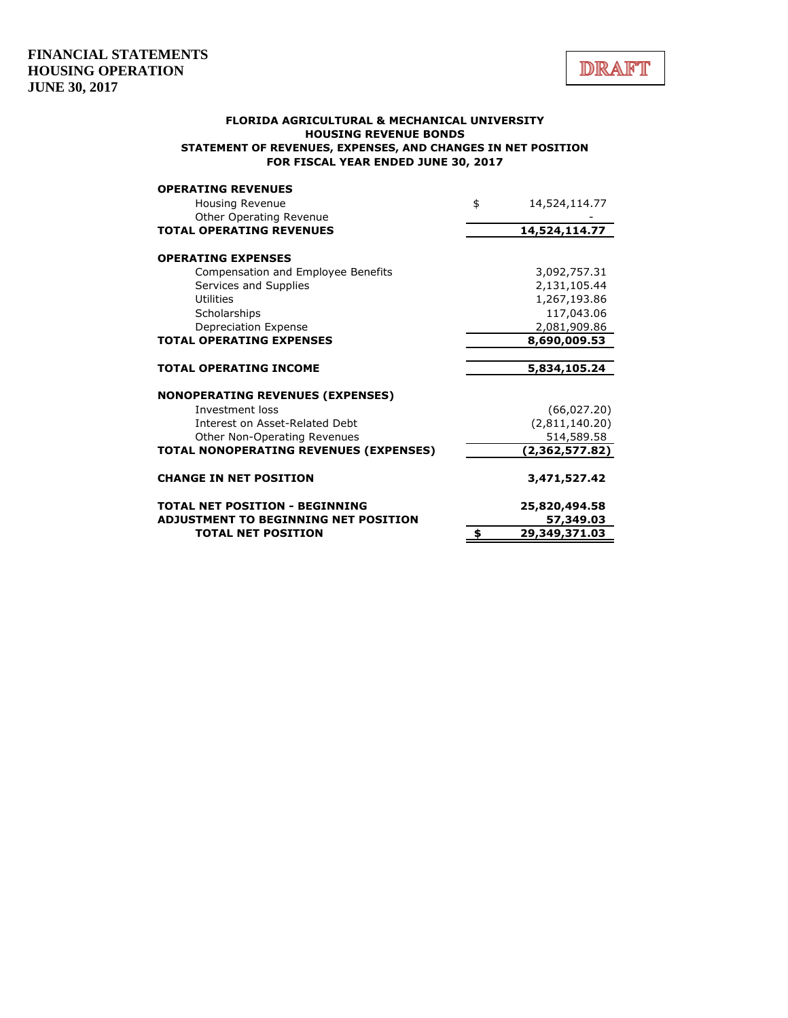

#### **FLORIDA AGRICULTURAL & MECHANICAL UNIVERSITY HOUSING REVENUE BONDS STATEMENT OF REVENUES, EXPENSES, AND CHANGES IN NET POSITION FOR FISCAL YEAR ENDED JUNE 30, 2017**

| <b>TOTAL NET POSITION</b>                                       | \$<br>29,349,371.03 |
|-----------------------------------------------------------------|---------------------|
| <b>ADJUSTMENT TO BEGINNING NET POSITION</b>                     | 57,349.03           |
| <b>TOTAL NET POSITION - BEGINNING</b>                           | 25,820,494.58       |
| <b>CHANGE IN NET POSITION</b>                                   | 3,471,527.42        |
| TOTAL NONOPERATING REVENUES (EXPENSES)                          | (2,362,577.82)      |
| Other Non-Operating Revenues                                    | 514,589.58          |
| Interest on Asset-Related Debt                                  | (2,811,140.20)      |
| Investment loss                                                 | (66,027.20)         |
| <b>NONOPERATING REVENUES (EXPENSES)</b>                         |                     |
| <b>TOTAL OPERATING INCOME</b>                                   | 5,834,105.24        |
|                                                                 | 8,690,009.53        |
| Depreciation Expense<br><b>TOTAL OPERATING EXPENSES</b>         | 2,081,909.86        |
| Scholarships                                                    | 117,043.06          |
| Utilities                                                       | 1,267,193.86        |
| Services and Supplies                                           | 2,131,105.44        |
| <b>OPERATING EXPENSES</b><br>Compensation and Employee Benefits | 3,092,757.31        |
| <b>TOTAL OPERATING REVENUES</b>                                 | 14,524,114.77       |
| Other Operating Revenue                                         |                     |
| Housing Revenue                                                 | \$<br>14,524,114.77 |
| <b>OPERATING REVENUES</b>                                       |                     |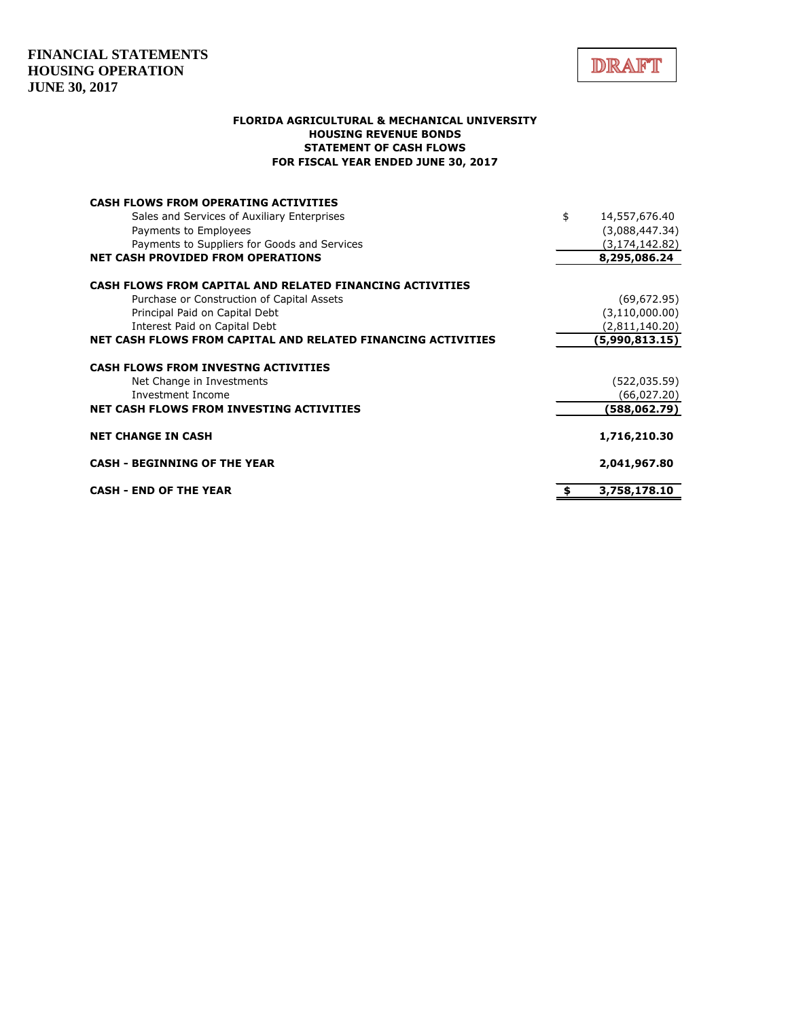

### **FLORIDA AGRICULTURAL & MECHANICAL UNIVERSITY HOUSING REVENUE BONDS STATEMENT OF CASH FLOWS FOR FISCAL YEAR ENDED JUNE 30, 2017**

| <b>CASH FLOWS FROM OPERATING ACTIVITIES</b>                  |                     |
|--------------------------------------------------------------|---------------------|
| Sales and Services of Auxiliary Enterprises                  | \$<br>14,557,676.40 |
| Payments to Employees                                        | (3,088,447.34)      |
| Payments to Suppliers for Goods and Services                 | (3, 174, 142.82)    |
| <b>NET CASH PROVIDED FROM OPERATIONS</b>                     | 8,295,086.24        |
| CASH FLOWS FROM CAPITAL AND RELATED FINANCING ACTIVITIES     |                     |
| Purchase or Construction of Capital Assets                   | (69, 672.95)        |
| Principal Paid on Capital Debt                               | (3, 110, 000.00)    |
| Interest Paid on Capital Debt                                | (2,811,140.20)      |
| NET CASH FLOWS FROM CAPITAL AND RELATED FINANCING ACTIVITIES | (5,990,813.15)      |
| <b>CASH FLOWS FROM INVESTNG ACTIVITIES</b>                   |                     |
| Net Change in Investments                                    | (522, 035.59)       |
| Investment Income                                            | (66,027.20)         |
| NET CASH FLOWS FROM INVESTING ACTIVITIES                     | (588,062.79)        |
| <b>NET CHANGE IN CASH</b>                                    | 1,716,210.30        |
| <b>CASH - BEGINNING OF THE YEAR</b>                          | 2,041,967.80        |
| <b>CASH - END OF THE YEAR</b>                                | 3,758,178.10        |